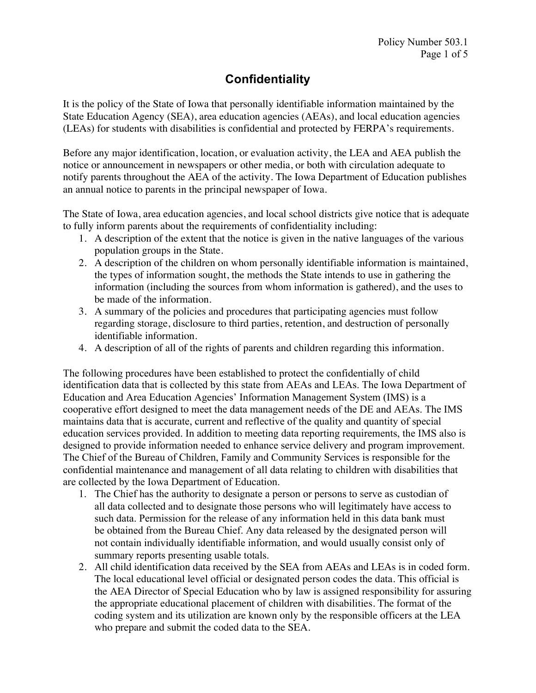# **Confidentiality**

It is the policy of the State of Iowa that personally identifiable information maintained by the State Education Agency (SEA), area education agencies (AEAs), and local education agencies (LEAs) for students with disabilities is confidential and protected by FERPA's requirements.

Before any major identification, location, or evaluation activity, the LEA and AEA publish the notice or announcement in newspapers or other media, or both with circulation adequate to notify parents throughout the AEA of the activity. The Iowa Department of Education publishes an annual notice to parents in the principal newspaper of Iowa.

The State of Iowa, area education agencies, and local school districts give notice that is adequate to fully inform parents about the requirements of confidentiality including:

- 1. A description of the extent that the notice is given in the native languages of the various population groups in the State.
- 2. A description of the children on whom personally identifiable information is maintained, the types of information sought, the methods the State intends to use in gathering the information (including the sources from whom information is gathered), and the uses to be made of the information.
- 3. A summary of the policies and procedures that participating agencies must follow regarding storage, disclosure to third parties, retention, and destruction of personally identifiable information.
- 4. A description of all of the rights of parents and children regarding this information.

The following procedures have been established to protect the confidentially of child identification data that is collected by this state from AEAs and LEAs. The Iowa Department of Education and Area Education Agencies' Information Management System (IMS) is a cooperative effort designed to meet the data management needs of the DE and AEAs. The IMS maintains data that is accurate, current and reflective of the quality and quantity of special education services provided. In addition to meeting data reporting requirements, the IMS also is designed to provide information needed to enhance service delivery and program improvement. The Chief of the Bureau of Children, Family and Community Services is responsible for the confidential maintenance and management of all data relating to children with disabilities that are collected by the Iowa Department of Education.

- 1. The Chief has the authority to designate a person or persons to serve as custodian of all data collected and to designate those persons who will legitimately have access to such data. Permission for the release of any information held in this data bank must be obtained from the Bureau Chief. Any data released by the designated person will not contain individually identifiable information, and would usually consist only of summary reports presenting usable totals.
- 2. All child identification data received by the SEA from AEAs and LEAs is in coded form. The local educational level official or designated person codes the data. This official is the AEA Director of Special Education who by law is assigned responsibility for assuring the appropriate educational placement of children with disabilities. The format of the coding system and its utilization are known only by the responsible officers at the LEA who prepare and submit the coded data to the SEA.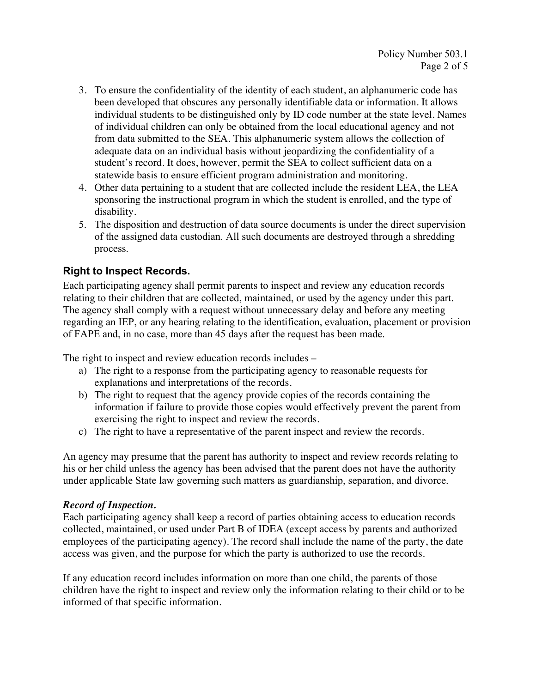- 3. To ensure the confidentiality of the identity of each student, an alphanumeric code has been developed that obscures any personally identifiable data or information. It allows individual students to be distinguished only by ID code number at the state level. Names of individual children can only be obtained from the local educational agency and not from data submitted to the SEA. This alphanumeric system allows the collection of adequate data on an individual basis without jeopardizing the confidentiality of a student's record. It does, however, permit the SEA to collect sufficient data on a statewide basis to ensure efficient program administration and monitoring.
- 4. Other data pertaining to a student that are collected include the resident LEA, the LEA sponsoring the instructional program in which the student is enrolled, and the type of disability.
- 5. The disposition and destruction of data source documents is under the direct supervision of the assigned data custodian. All such documents are destroyed through a shredding process.

# **Right to Inspect Records.**

Each participating agency shall permit parents to inspect and review any education records relating to their children that are collected, maintained, or used by the agency under this part. The agency shall comply with a request without unnecessary delay and before any meeting regarding an IEP, or any hearing relating to the identification, evaluation, placement or provision of FAPE and, in no case, more than 45 days after the request has been made.

The right to inspect and review education records includes –

- a) The right to a response from the participating agency to reasonable requests for explanations and interpretations of the records.
- b) The right to request that the agency provide copies of the records containing the information if failure to provide those copies would effectively prevent the parent from exercising the right to inspect and review the records.
- c) The right to have a representative of the parent inspect and review the records.

An agency may presume that the parent has authority to inspect and review records relating to his or her child unless the agency has been advised that the parent does not have the authority under applicable State law governing such matters as guardianship, separation, and divorce.

## *Record of Inspection.*

Each participating agency shall keep a record of parties obtaining access to education records collected, maintained, or used under Part B of IDEA (except access by parents and authorized employees of the participating agency). The record shall include the name of the party, the date access was given, and the purpose for which the party is authorized to use the records.

If any education record includes information on more than one child, the parents of those children have the right to inspect and review only the information relating to their child or to be informed of that specific information.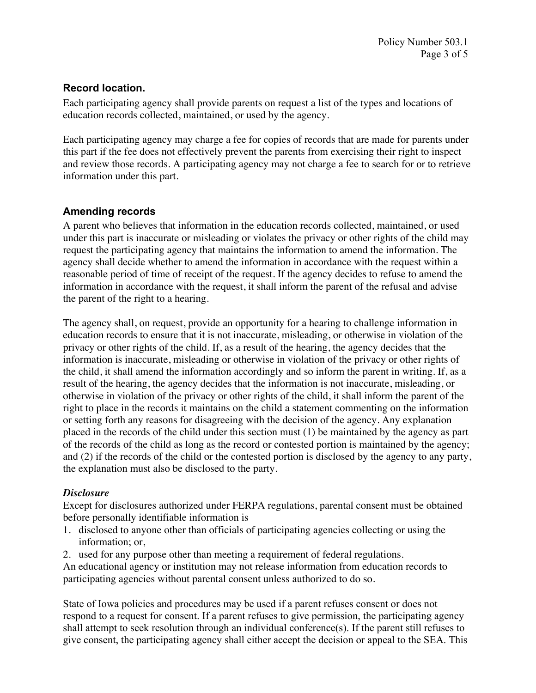## **Record location.**

Each participating agency shall provide parents on request a list of the types and locations of education records collected, maintained, or used by the agency.

Each participating agency may charge a fee for copies of records that are made for parents under this part if the fee does not effectively prevent the parents from exercising their right to inspect and review those records. A participating agency may not charge a fee to search for or to retrieve information under this part.

# **Amending records**

A parent who believes that information in the education records collected, maintained, or used under this part is inaccurate or misleading or violates the privacy or other rights of the child may request the participating agency that maintains the information to amend the information. The agency shall decide whether to amend the information in accordance with the request within a reasonable period of time of receipt of the request. If the agency decides to refuse to amend the information in accordance with the request, it shall inform the parent of the refusal and advise the parent of the right to a hearing.

The agency shall, on request, provide an opportunity for a hearing to challenge information in education records to ensure that it is not inaccurate, misleading, or otherwise in violation of the privacy or other rights of the child. If, as a result of the hearing, the agency decides that the information is inaccurate, misleading or otherwise in violation of the privacy or other rights of the child, it shall amend the information accordingly and so inform the parent in writing. If, as a result of the hearing, the agency decides that the information is not inaccurate, misleading, or otherwise in violation of the privacy or other rights of the child, it shall inform the parent of the right to place in the records it maintains on the child a statement commenting on the information or setting forth any reasons for disagreeing with the decision of the agency. Any explanation placed in the records of the child under this section must (1) be maintained by the agency as part of the records of the child as long as the record or contested portion is maintained by the agency; and (2) if the records of the child or the contested portion is disclosed by the agency to any party, the explanation must also be disclosed to the party.

## *Disclosure*

Except for disclosures authorized under FERPA regulations, parental consent must be obtained before personally identifiable information is

- 1. disclosed to anyone other than officials of participating agencies collecting or using the information; or,
- 2. used for any purpose other than meeting a requirement of federal regulations.

An educational agency or institution may not release information from education records to participating agencies without parental consent unless authorized to do so.

State of Iowa policies and procedures may be used if a parent refuses consent or does not respond to a request for consent. If a parent refuses to give permission, the participating agency shall attempt to seek resolution through an individual conference(s). If the parent still refuses to give consent, the participating agency shall either accept the decision or appeal to the SEA. This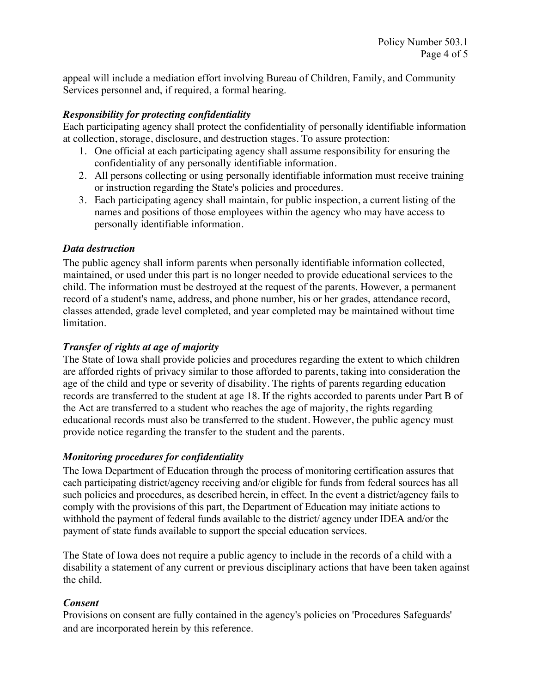appeal will include a mediation effort involving Bureau of Children, Family, and Community Services personnel and, if required, a formal hearing.

#### *Responsibility for protecting confidentiality*

Each participating agency shall protect the confidentiality of personally identifiable information at collection, storage, disclosure, and destruction stages. To assure protection:

- 1. One official at each participating agency shall assume responsibility for ensuring the confidentiality of any personally identifiable information.
- 2. All persons collecting or using personally identifiable information must receive training or instruction regarding the State's policies and procedures.
- 3. Each participating agency shall maintain, for public inspection, a current listing of the names and positions of those employees within the agency who may have access to personally identifiable information.

#### *Data destruction*

The public agency shall inform parents when personally identifiable information collected, maintained, or used under this part is no longer needed to provide educational services to the child. The information must be destroyed at the request of the parents. However, a permanent record of a student's name, address, and phone number, his or her grades, attendance record, classes attended, grade level completed, and year completed may be maintained without time limitation.

#### *Transfer of rights at age of majority*

The State of Iowa shall provide policies and procedures regarding the extent to which children are afforded rights of privacy similar to those afforded to parents, taking into consideration the age of the child and type or severity of disability. The rights of parents regarding education records are transferred to the student at age 18. If the rights accorded to parents under Part B of the Act are transferred to a student who reaches the age of majority, the rights regarding educational records must also be transferred to the student. However, the public agency must provide notice regarding the transfer to the student and the parents.

#### *Monitoring procedures for confidentiality*

The Iowa Department of Education through the process of monitoring certification assures that each participating district/agency receiving and/or eligible for funds from federal sources has all such policies and procedures, as described herein, in effect. In the event a district/agency fails to comply with the provisions of this part, the Department of Education may initiate actions to withhold the payment of federal funds available to the district/ agency under IDEA and/or the payment of state funds available to support the special education services.

The State of Iowa does not require a public agency to include in the records of a child with a disability a statement of any current or previous disciplinary actions that have been taken against the child.

## *Consent*

Provisions on consent are fully contained in the agency's policies on 'Procedures Safeguards' and are incorporated herein by this reference.